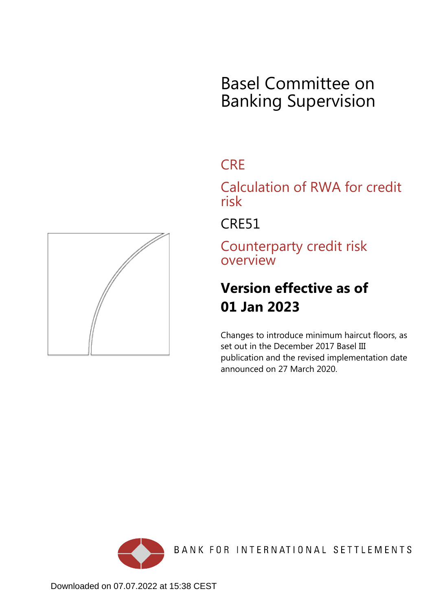# Basel Committee on Banking Supervision

## **CRE**

Calculation of RWA for credit risk

CRE51

Counterparty credit risk overview

## **Version effective as of 01 Jan 2023**

Changes to introduce minimum haircut floors, as set out in the December 2017 Basel III publication and the revised implementation date announced on 27 March 2020.



BANK FOR INTERNATIONAL SETTLEMENTS

<span id="page-0-0"></span>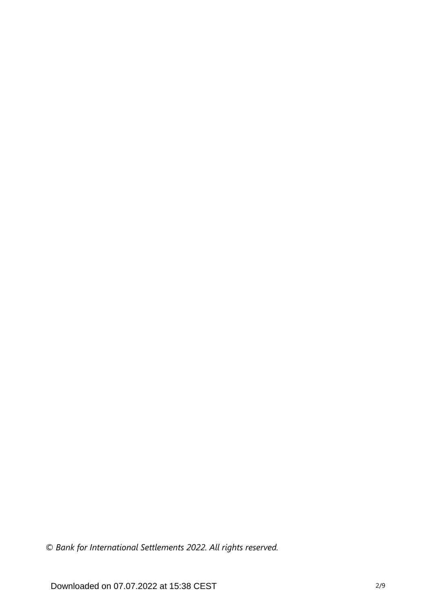*© Bank for International Settlements 2022. All rights reserved.*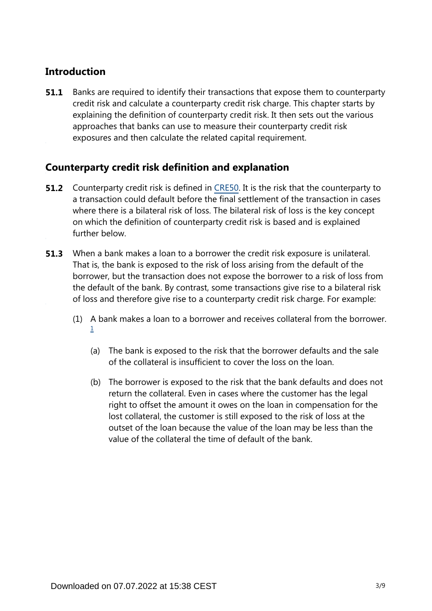### **Introduction**

Banks are required to identify their transactions that expose them to counterparty credit risk and calculate a counterparty credit risk charge. This chapter starts by explaining the definition of counterparty credit risk. It then sets out the various approaches that banks can use to measure their counterparty credit risk exposures and then calculate the related capital requirement. **51.1**

### **Counterparty credit risk definition and explanation**

- **51.2** Counterparty credit risk is defined in [CRE50.](https://www.bis.org/basel_framework/chapter/CRE/50.htm?tldate=20230101&inforce=20191215&published=20191215) It is the risk that the counterparty to a transaction could default before the final settlement of the transaction in cases where there is a bilateral risk of loss. The bilateral risk of loss is the key concept on which the definition of counterparty credit risk is based and is explained further below.
- When a bank makes a loan to a borrower the credit risk exposure is unilateral. That is, the bank is exposed to the risk of loss arising from the default of the borrower, but the transaction does not expose the borrower to a risk of loss from the default of the bank. By contrast, some transactions give rise to a bilateral risk of loss and therefore give rise to a counterparty credit risk charge. For example: **51.3**
	- (1) A bank makes a loan to a borrower and receives collateral from the borrower. [1](#page-4-0)
		- (a) The bank is exposed to the risk that the borrower defaults and the sale of the collateral is insufficient to cover the loss on the loan.
		- (b) The borrower is exposed to the risk that the bank defaults and does not return the collateral. Even in cases where the customer has the legal right to offset the amount it owes on the loan in compensation for the lost collateral, the customer is still exposed to the risk of loss at the outset of the loan because the value of the loan may be less than the value of the collateral the time of default of the bank.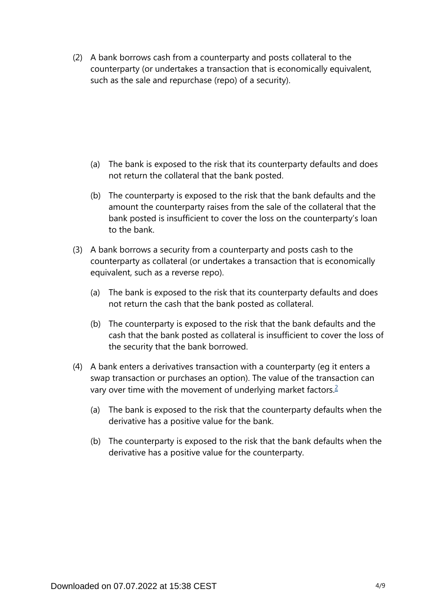(2) A bank borrows cash from a counterparty and posts collateral to the counterparty (or undertakes a transaction that is economically equivalent, such as the sale and repurchase (repo) of a security).

- (a) The bank is exposed to the risk that its counterparty defaults and does not return the collateral that the bank posted.
- (b) The counterparty is exposed to the risk that the bank defaults and the amount the counterparty raises from the sale of the collateral that the bank posted is insufficient to cover the loss on the counterparty's loan to the bank.
- (3) A bank borrows a security from a counterparty and posts cash to the counterparty as collateral (or undertakes a transaction that is economically equivalent, such as a reverse repo).
	- (a) The bank is exposed to the risk that its counterparty defaults and does not return the cash that the bank posted as collateral.
	- (b) The counterparty is exposed to the risk that the bank defaults and the cash that the bank posted as collateral is insufficient to cover the loss of the security that the bank borrowed.
- <span id="page-3-0"></span>(4) A bank enters a derivatives transaction with a counterparty (eg it enters a swap transaction or purchases an option). The value of the transaction can vary over time with the movement of underlying market factors.<sup>[2](#page-4-1)</sup>
	- (a) The bank is exposed to the risk that the counterparty defaults when the derivative has a positive value for the bank.
	- (b) The counterparty is exposed to the risk that the bank defaults when the derivative has a positive value for the counterparty.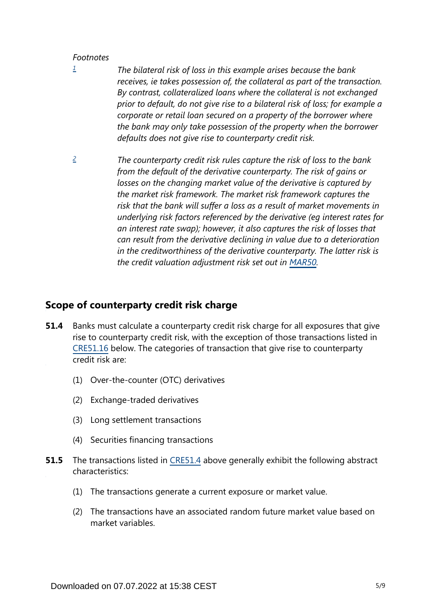#### *Footnotes*

- <span id="page-4-0"></span>*The bilateral risk of loss in this example arises because the bank receives, ie takes possession of, the collateral as part of the transaction. By contrast, collateralized loans where the collateral is not exchanged prior to default, do not give rise to a bilateral risk of loss; for example a corporate or retail loan secured on a property of the borrower where the bank may only take possession of the property when the borrower defaults does not give rise to counterparty credit risk. [1](#page-0-0)*
- <span id="page-4-1"></span>*The counterparty credit risk rules capture the risk of loss to the bank from the default of the derivative counterparty. The risk of gains or losses on the changing market value of the derivative is captured by the market risk framework. The market risk framework captures the risk that the bank will suffer a loss as a result of market movements in underlying risk factors referenced by the derivative (eg interest rates for an interest rate swap); however, it also captures the risk of losses that can result from the derivative declining in value due to a deterioration in the creditworthiness of the derivative counterparty. The latter risk is the credit valuation adjustment risk set out in [MAR50](https://www.bis.org/basel_framework/chapter/MAR/50.htm?tldate=20230101&inforce=20230101&published=20200708). [2](#page-3-0)*

#### **Scope of counterparty credit risk charge**

- Banks must calculate a counterparty credit risk charge for all exposures that give rise to counterparty credit risk, with the exception of those transactions listed in [CRE51.16](https://www.bis.org/basel_framework/chapter/CRE/51.htm?tldate=20230101&inforce=20230101&published=20200327#paragraph_CRE_51_20230101_51_16) below. The categories of transaction that give rise to counterparty credit risk are: **51.4**
	- (1) Over-the-counter (OTC) derivatives
	- (2) Exchange-traded derivatives
	- (3) Long settlement transactions
	- (4) Securities financing transactions
- The transactions listed in [CRE51.4](https://www.bis.org/basel_framework/chapter/CRE/51.htm?tldate=20230101&inforce=20230101&published=20200327#paragraph_CRE_51_20230101_51_4) above generally exhibit the following abstract characteristics: **51.5**
	- (1) The transactions generate a current exposure or market value.
	- (2) The transactions have an associated random future market value based on market variables.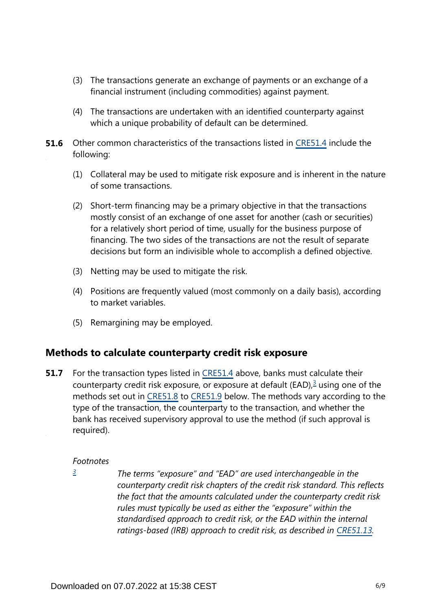- (3) The transactions generate an exchange of payments or an exchange of a financial instrument (including commodities) against payment.
- (4) The transactions are undertaken with an identified counterparty against which a unique probability of default can be determined.
- **51.6** Other common characteristics of the transactions listed in [CRE51.4](https://www.bis.org/basel_framework/chapter/CRE/51.htm?tldate=20230101&inforce=20230101&published=20200327#paragraph_CRE_51_20230101_51_4) include the following:
	- (1) Collateral may be used to mitigate risk exposure and is inherent in the nature of some transactions.
	- (2) Short-term financing may be a primary objective in that the transactions mostly consist of an exchange of one asset for another (cash or securities) for a relatively short period of time, usually for the business purpose of financing. The two sides of the transactions are not the result of separate decisions but form an indivisible whole to accomplish a defined objective.
	- (3) Netting may be used to mitigate the risk.
	- (4) Positions are frequently valued (most commonly on a daily basis), according to market variables.
	- (5) Remargining may be employed.

#### **Methods to calculate counterparty credit risk exposure**

<span id="page-5-1"></span>For the transaction types listed in [CRE51.4](https://www.bis.org/basel_framework/chapter/CRE/51.htm?tldate=20230101&inforce=20230101&published=20200327#paragraph_CRE_51_20230101_51_4) above, banks must calculate their counterparty credit risk exposure, or exposure at default (EAD), $3$  using one of the methods set out in [CRE51.8](https://www.bis.org/basel_framework/chapter/CRE/51.htm?tldate=20230101&inforce=20230101&published=20200327#paragraph_CRE_51_20230101_51_8) to [CRE51.9](https://www.bis.org/basel_framework/chapter/CRE/51.htm?tldate=20230101&inforce=20230101&published=20200327#paragraph_CRE_51_20230101_51_9) below. The methods vary according to the type of the transaction, the counterparty to the transaction, and whether the bank has received supervisory approval to use the method (if such approval is required). **51.7**

#### *Footnotes*

<span id="page-5-0"></span>*[3](#page-5-1)*

*The terms "exposure" and "EAD" are used interchangeable in the counterparty credit risk chapters of the credit risk standard. This reflects the fact that the amounts calculated under the counterparty credit risk rules must typically be used as either the "exposure" within the standardised approach to credit risk, or the EAD within the internal*  ratings-based (IRB) approach to credit risk, as described in [CRE51.13](https://www.bis.org/basel_framework/chapter/CRE/51.htm?tldate=20230101&inforce=20230101&published=20200327#paragraph_CRE_51_20230101_51_13).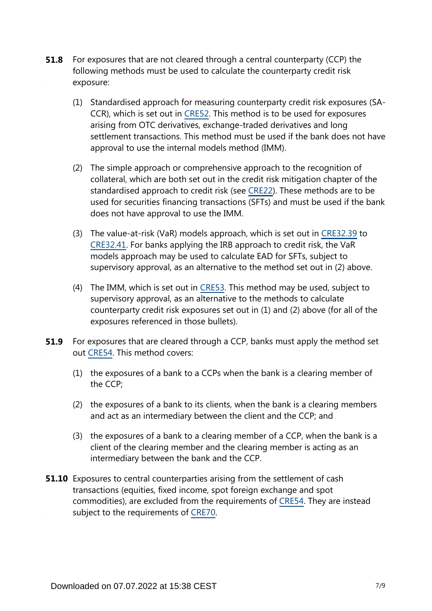- For exposures that are not cleared through a central counterparty (CCP) the following methods must be used to calculate the counterparty credit risk exposure: **51.8**
	- (1) Standardised approach for measuring counterparty credit risk exposures (SA-CCR), which is set out in [CRE52.](https://www.bis.org/basel_framework/chapter/CRE/52.htm?tldate=20230101&inforce=20230101&published=20200605) This method is to be used for exposures arising from OTC derivatives, exchange-traded derivatives and long settlement transactions. This method must be used if the bank does not have approval to use the internal models method (IMM).
	- (2) The simple approach or comprehensive approach to the recognition of collateral, which are both set out in the credit risk mitigation chapter of the standardised approach to credit risk (see [CRE22\)](https://www.bis.org/basel_framework/chapter/CRE/22.htm?tldate=20230101&inforce=20230101&published=20201126). These methods are to be used for securities financing transactions (SFTs) and must be used if the bank does not have approval to use the IMM.
	- (3) The value-at-risk (VaR) models approach, which is set out in [CRE32.39](https://www.bis.org/basel_framework/chapter/CRE/32.htm?tldate=20230101&inforce=20230101&published=20200327#paragraph_CRE_32_20230101_32_39) to [CRE32.41.](https://www.bis.org/basel_framework/chapter/CRE/32.htm?tldate=20230101&inforce=20230101&published=20200327#paragraph_CRE_32_20230101_32_41) For banks applying the IRB approach to credit risk, the VaR models approach may be used to calculate EAD for SFTs, subject to supervisory approval, as an alternative to the method set out in (2) above.
	- (4) The IMM, which is set out in [CRE53](https://www.bis.org/basel_framework/chapter/CRE/53.htm?tldate=20230101&inforce=20230101&published=20200605). This method may be used, subject to supervisory approval, as an alternative to the methods to calculate counterparty credit risk exposures set out in (1) and (2) above (for all of the exposures referenced in those bullets).
- For exposures that are cleared through a CCP, banks must apply the method set out [CRE54.](https://www.bis.org/basel_framework/chapter/CRE/54.htm?tldate=20230101&inforce=20230101&published=20200327) This method covers: **51.9**
	- (1) the exposures of a bank to a CCPs when the bank is a clearing member of the CCP;
	- (2) the exposures of a bank to its clients, when the bank is a clearing members and act as an intermediary between the client and the CCP; and
	- (3) the exposures of a bank to a clearing member of a CCP, when the bank is a client of the clearing member and the clearing member is acting as an intermediary between the bank and the CCP.
- **51.10** Exposures to central counterparties arising from the settlement of cash transactions (equities, fixed income, spot foreign exchange and spot commodities), are excluded from the requirements of [CRE54.](https://www.bis.org/basel_framework/chapter/CRE/54.htm?tldate=20230101&inforce=20230101&published=20200327) They are instead subject to the requirements of [CRE70.](https://www.bis.org/basel_framework/chapter/CRE/70.htm?tldate=20230101&inforce=20191215&published=20191215)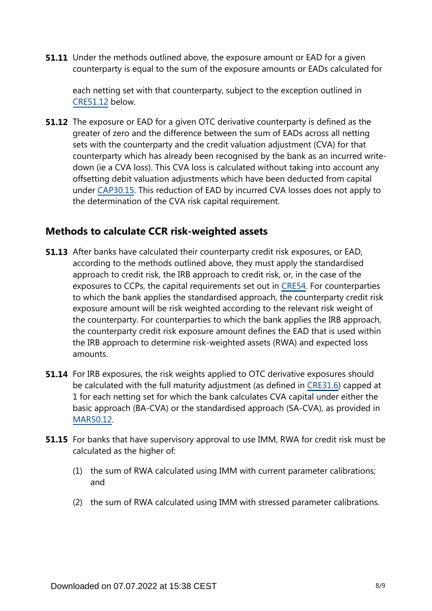**51.11** Under the methods outlined above, the exposure amount or EAD for a given counterparty is equal to the sum of the exposure amounts or EADs calculated for

each netting set with that counterparty, subject to the exception outlined in [CRE51.12](https://www.bis.org/basel_framework/chapter/CRE/51.htm?tldate=20230101&inforce=20230101&published=20200327#paragraph_CRE_51_20230101_51_12) below.

**51.12** The exposure or EAD for a given OTC derivative counterparty is defined as the greater of zero and the difference between the sum of EADs across all netting sets with the counterparty and the credit valuation adjustment (CVA) for that counterparty which has already been recognised by the bank as an incurred writedown (ie a CVA loss). This CVA loss is calculated without taking into account any offsetting debit valuation adjustments which have been deducted from capital under [CAP30.15.](https://www.bis.org/basel_framework/chapter/CAP/30.htm?tldate=20230101&inforce=20191215&published=20191215#paragraph_CAP_30_20191215_30_15) This reduction of EAD by incurred CVA losses does not apply to the determination of the CVA risk capital requirement.

#### **Methods to calculate CCR risk-weighted assets**

- **51.13** After banks have calculated their counterparty credit risk exposures, or EAD, according to the methods outlined above, they must apply the standardised approach to credit risk, the IRB approach to credit risk, or, in the case of the exposures to CCPs, the capital requirements set out in [CRE54.](https://www.bis.org/basel_framework/chapter/CRE/54.htm?tldate=20230101&inforce=20230101&published=20200327) For counterparties to which the bank applies the standardised approach, the counterparty credit risk exposure amount will be risk weighted according to the relevant risk weight of the counterparty. For counterparties to which the bank applies the IRB approach, the counterparty credit risk exposure amount defines the EAD that is used within the IRB approach to determine risk-weighted assets (RWA) and expected loss amounts.
- **51.14** For IRB exposures, the risk weights applied to OTC derivative exposures should be calculated with the full maturity adjustment (as defined in [CRE31.6](https://www.bis.org/basel_framework/chapter/CRE/31.htm?tldate=20230101&inforce=20230101&published=20200327#paragraph_CRE_31_20230101_31_6)) capped at 1 for each netting set for which the bank calculates CVA capital under either the basic approach (BA-CVA) or the standardised approach (SA-CVA), as provided in [MAR50.12](https://www.bis.org/basel_framework/chapter/MAR/50.htm?tldate=20230101&inforce=20230101&published=20200708#paragraph_MAR_50_20230101_50_12).
- **51.15** For banks that have supervisory approval to use IMM, RWA for credit risk must be calculated as the higher of:
	- (1) the sum of RWA calculated using IMM with current parameter calibrations; and
	- (2) the sum of RWA calculated using IMM with stressed parameter calibrations.